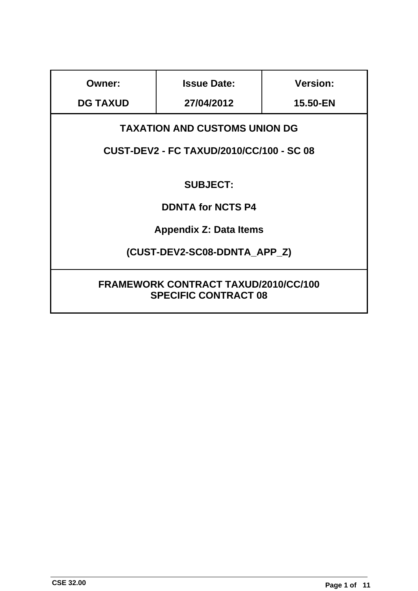| <b>Owner:</b>                                                              | <b>Issue Date:</b> | <b>Version:</b> |
|----------------------------------------------------------------------------|--------------------|-----------------|
| <b>DG TAXUD</b>                                                            | 27/04/2012         | 15.50-EN        |
| <b>TAXATION AND CUSTOMS UNION DG</b>                                       |                    |                 |
| <b>CUST-DEV2 - FC TAXUD/2010/CC/100 - SC 08</b>                            |                    |                 |
| <b>SUBJECT:</b>                                                            |                    |                 |
| <b>DDNTA for NCTS P4</b>                                                   |                    |                 |
| <b>Appendix Z: Data Items</b>                                              |                    |                 |
| (CUST-DEV2-SC08-DDNTA_APP_Z)                                               |                    |                 |
| <b>FRAMEWORK CONTRACT TAXUD/2010/CC/100</b><br><b>SPECIFIC CONTRACT 08</b> |                    |                 |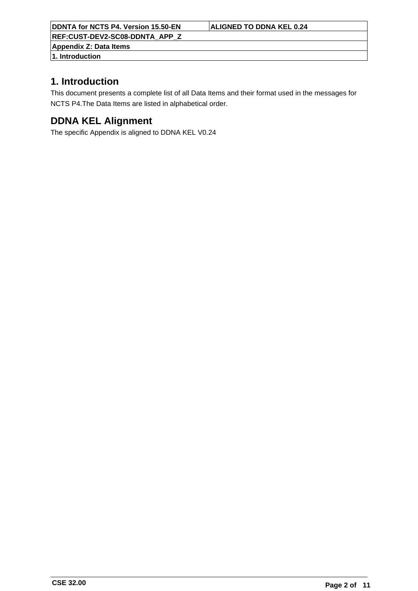**REF:CUST-DEV2-SC08-DDNTA\_APP\_Z**

**Appendix Z: Data Items 1. Introduction**

# **1. Introduction**

This document presents a complete list of all Data Items and their format used in the messages for NCTS P4.The Data Items are listed in alphabetical order.

# **DDNA KEL Alignment**

The specific Appendix is aligned to DDNA KEL V0.24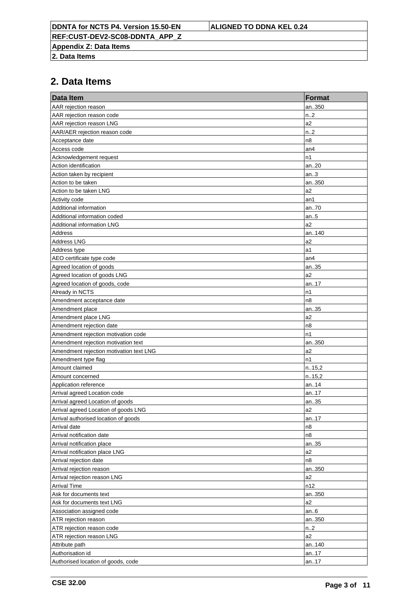**REF:CUST-DEV2-SC08-DDNTA\_APP\_Z**

**Appendix Z: Data Items**

**2. Data Items**

| Data Item                               | <b>Format</b>    |
|-----------------------------------------|------------------|
| AAR rejection reason                    | an350            |
| AAR rejection reason code               | n.2              |
| AAR rejection reason LNG                | a2               |
| AAR/AER rejection reason code           | n.2              |
| Acceptance date                         | n8               |
| Access code                             | an4              |
| Acknowledgement request                 | n1               |
| Action identification                   | an20             |
| Action taken by recipient               | an.3             |
| Action to be taken                      | an350            |
| Action to be taken LNG                  | a2               |
| Activity code                           | an1              |
| Additional information                  | an70             |
| Additional information coded            | an $.5$          |
| Additional information LNG              | a2               |
| Address                                 | an140            |
| <b>Address LNG</b>                      | a <sub>2</sub>   |
| Address type                            | a1               |
| AEO certificate type code               | an4              |
| Agreed location of goods                | an35             |
| Agreed location of goods LNG            | a2               |
| Agreed location of goods, code          | an17             |
| Already in NCTS                         | n1               |
| Amendment acceptance date               | n8               |
| Amendment place                         | an35             |
| Amendment place LNG                     | a <sub>2</sub>   |
| Amendment rejection date                | n <sub>8</sub>   |
| Amendment rejection motivation code     | n1               |
| Amendment rejection motivation text     | an350            |
| Amendment rejection motivation text LNG | a <sub>2</sub>   |
| Amendment type flag                     | n1               |
| Amount claimed                          | n.15,2           |
| Amount concerned                        | n.15,2           |
| Application reference                   | an14             |
| Arrival agreed Location code            | an17             |
| Arrival agreed Location of goods        | an35             |
| Arrival agreed Location of goods LNG    | a2               |
| Arrival authorised location of goods    | an17             |
| Arrival date                            | n8               |
| Arrival notification date               | n8               |
| Arrival notification place              | an35             |
| Arrival notification place LNG          | a <sub>2</sub>   |
| Arrival rejection date                  | n8               |
| Arrival rejection reason                | an350            |
| Arrival rejection reason LNG            | a <sub>2</sub>   |
| <b>Arrival Time</b>                     | n12              |
| Ask for documents text                  | an350            |
| Ask for documents text LNG              | a <sub>2</sub>   |
| Association assigned code               | an.6             |
| ATR rejection reason                    | an350            |
| ATR rejection reason code               | n <sub>1</sub> 2 |
| ATR rejection reason LNG                | a <sub>2</sub>   |
| Attribute path<br>Authorisation id      | an140            |
| Authorised location of goods, code      | an17<br>an17     |
|                                         |                  |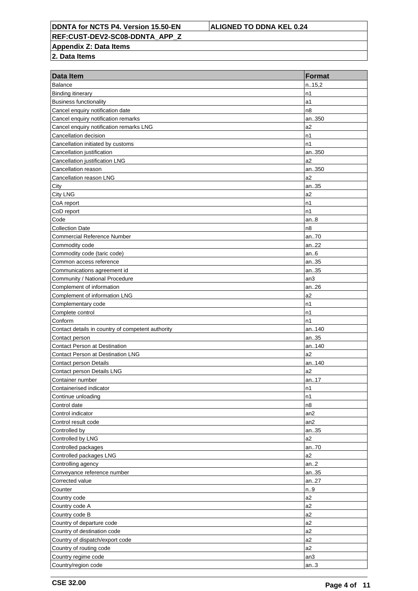**REF:CUST-DEV2-SC08-DDNTA\_APP\_Z**

**Appendix Z: Data Items**

| Data Item                                         | <b>Format</b>   |
|---------------------------------------------------|-----------------|
| <b>Balance</b>                                    | n.15,2          |
| <b>Binding itinerary</b>                          | n1              |
| <b>Business functionality</b>                     | a1              |
| Cancel enquiry notification date                  | n8              |
| Cancel enquiry notification remarks               | an350           |
| Cancel enquiry notification remarks LNG           | a <sub>2</sub>  |
| Cancellation decision                             | n1              |
| Cancellation initiated by customs                 | n1              |
| Cancellation justification                        | an350           |
| Cancellation justification LNG                    | a2              |
| Cancellation reason                               | an350           |
| Cancellation reason LNG                           | a2              |
| City                                              | an35            |
| <b>City LNG</b>                                   | a <sub>2</sub>  |
| CoA report                                        | n1              |
| CoD report                                        | n1              |
| Code                                              | an8             |
| <b>Collection Date</b>                            | n8              |
| Commercial Reference Number                       | an70            |
| Commodity code                                    | an22            |
| Commodity code (taric code)                       | an6             |
| Common access reference                           | an35            |
| Communications agreement id                       | an35            |
| Community / National Procedure                    | an <sub>3</sub> |
| Complement of information                         | an26            |
| Complement of information LNG                     | a2              |
| Complementary code                                | n1              |
| Complete control                                  | n1              |
| Conform                                           | n1              |
| Contact details in country of competent authority | an140           |
| Contact person                                    | an35            |
| <b>Contact Person at Destination</b>              | an140           |
| Contact Person at Destination LNG                 | a2              |
| <b>Contact person Details</b>                     | an140           |
| Contact person Details LNG                        | a2              |
| Container number                                  | an17            |
| Containerised indicator                           | n1              |
| Continue unloading                                | n1              |
| Control date                                      | n8              |
| Control indicator                                 | an2             |
| Control result code                               | an2             |
| Controlled by                                     | an35            |
| Controlled by LNG                                 | a <sub>2</sub>  |
| Controlled packages                               | an70<br>a2      |
| Controlled packages LNG                           |                 |
| Controlling agency<br>Conveyance reference number | an2<br>an35     |
| Corrected value                                   | an27            |
| Counter                                           | n.9             |
| Country code                                      | a2              |
| Country code A                                    | a2              |
| Country code B                                    | a <sub>2</sub>  |
| Country of departure code                         | a2              |
| Country of destination code                       | a <sub>2</sub>  |
| Country of dispatch/export code                   | a2              |
| Country of routing code                           | a2              |
| Country regime code                               | an3             |
| Country/region code                               | an.3            |
|                                                   |                 |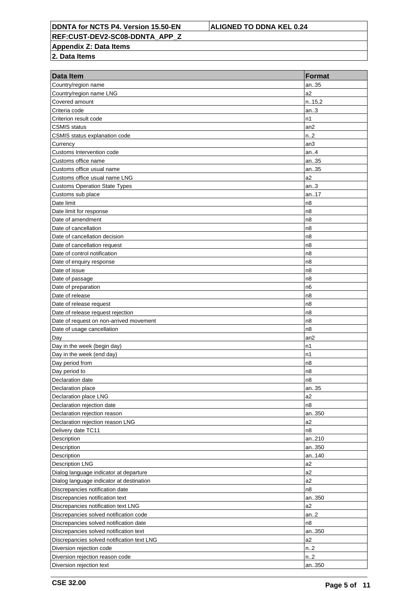**REF:CUST-DEV2-SC08-DDNTA\_APP\_Z**

**Appendix Z: Data Items**

| an35<br>Country/region name<br>a <sub>2</sub><br>Country/region name LNG<br>n.15,2<br>Covered amount<br>Criteria code<br>an.3<br>n1<br>Criterion result code<br>CSMIS status<br>an <sub>2</sub><br>CSMIS status explanation code<br>n2<br>Currency<br>an3<br>Customs Intervention code<br>an4<br>Customs office name<br>an35<br>Customs office usual name<br>an35<br>Customs office usual name LNG<br>a <sub>2</sub><br>Customs Operation State Types<br>an.3<br>an17<br>Customs sub place<br>Date limit<br>n8<br>n <sub>8</sub><br>Date limit for response<br>Date of amendment<br>n8<br>Date of cancellation<br>n8<br>n <sub>8</sub><br>Date of cancellation decision<br>Date of cancellation request<br>n8<br>n <sub>8</sub><br>Date of control notification<br>Date of enquiry response<br>n8<br>n <sub>8</sub><br>Date of issue<br>Date of passage<br>n8<br>n <sub>6</sub><br>Date of preparation<br>Date of release<br>n8<br>n <sub>8</sub><br>Date of release request<br>n <sub>8</sub><br>Date of release request rejection<br>n <sub>8</sub><br>Date of request on non-arrived movement<br>n8<br>Date of usage cancellation<br>an2<br>Day<br>Day in the week (begin day)<br>n1<br>Day in the week (end day)<br>n1<br>n <sub>8</sub><br>Day period from<br>Day period to<br>n8<br>n8<br>Declaration date<br>Declaration place<br>an35<br>a2<br>Declaration place LNG<br>n8<br>Declaration rejection date<br>Declaration rejection reason<br>an350<br>a <sub>2</sub><br>Declaration rejection reason LNG<br>Delivery date TC11<br>n8<br>Description<br>an210<br>Description<br>an350<br>Description<br>an140<br>a2<br><b>Description LNG</b><br>a2<br>Dialog language indicator at departure<br>a <sub>2</sub><br>Dialog language indicator at destination<br>n8<br>Discrepancies notification date<br>Discrepancies notification text<br>an350<br>a2<br>Discrepancies notification text LNG<br>an.2<br>Discrepancies solved notification code<br>Discrepancies solved notification date<br>n8<br>Discrepancies solved notification text<br>an350<br>a2<br>Discrepancies solved notification text LNG<br>Diversion rejection code<br>n2<br>Diversion rejection reason code<br>n2<br>Diversion rejection text | Data Item | <b>Format</b> |
|---------------------------------------------------------------------------------------------------------------------------------------------------------------------------------------------------------------------------------------------------------------------------------------------------------------------------------------------------------------------------------------------------------------------------------------------------------------------------------------------------------------------------------------------------------------------------------------------------------------------------------------------------------------------------------------------------------------------------------------------------------------------------------------------------------------------------------------------------------------------------------------------------------------------------------------------------------------------------------------------------------------------------------------------------------------------------------------------------------------------------------------------------------------------------------------------------------------------------------------------------------------------------------------------------------------------------------------------------------------------------------------------------------------------------------------------------------------------------------------------------------------------------------------------------------------------------------------------------------------------------------------------------------------------------------------------------------------------------------------------------------------------------------------------------------------------------------------------------------------------------------------------------------------------------------------------------------------------------------------------------------------------------------------------------------------------------------------------------------------------------------------------------------------------------------------------------------------------|-----------|---------------|
|                                                                                                                                                                                                                                                                                                                                                                                                                                                                                                                                                                                                                                                                                                                                                                                                                                                                                                                                                                                                                                                                                                                                                                                                                                                                                                                                                                                                                                                                                                                                                                                                                                                                                                                                                                                                                                                                                                                                                                                                                                                                                                                                                                                                                     |           |               |
|                                                                                                                                                                                                                                                                                                                                                                                                                                                                                                                                                                                                                                                                                                                                                                                                                                                                                                                                                                                                                                                                                                                                                                                                                                                                                                                                                                                                                                                                                                                                                                                                                                                                                                                                                                                                                                                                                                                                                                                                                                                                                                                                                                                                                     |           |               |
|                                                                                                                                                                                                                                                                                                                                                                                                                                                                                                                                                                                                                                                                                                                                                                                                                                                                                                                                                                                                                                                                                                                                                                                                                                                                                                                                                                                                                                                                                                                                                                                                                                                                                                                                                                                                                                                                                                                                                                                                                                                                                                                                                                                                                     |           |               |
|                                                                                                                                                                                                                                                                                                                                                                                                                                                                                                                                                                                                                                                                                                                                                                                                                                                                                                                                                                                                                                                                                                                                                                                                                                                                                                                                                                                                                                                                                                                                                                                                                                                                                                                                                                                                                                                                                                                                                                                                                                                                                                                                                                                                                     |           |               |
|                                                                                                                                                                                                                                                                                                                                                                                                                                                                                                                                                                                                                                                                                                                                                                                                                                                                                                                                                                                                                                                                                                                                                                                                                                                                                                                                                                                                                                                                                                                                                                                                                                                                                                                                                                                                                                                                                                                                                                                                                                                                                                                                                                                                                     |           |               |
|                                                                                                                                                                                                                                                                                                                                                                                                                                                                                                                                                                                                                                                                                                                                                                                                                                                                                                                                                                                                                                                                                                                                                                                                                                                                                                                                                                                                                                                                                                                                                                                                                                                                                                                                                                                                                                                                                                                                                                                                                                                                                                                                                                                                                     |           |               |
|                                                                                                                                                                                                                                                                                                                                                                                                                                                                                                                                                                                                                                                                                                                                                                                                                                                                                                                                                                                                                                                                                                                                                                                                                                                                                                                                                                                                                                                                                                                                                                                                                                                                                                                                                                                                                                                                                                                                                                                                                                                                                                                                                                                                                     |           |               |
|                                                                                                                                                                                                                                                                                                                                                                                                                                                                                                                                                                                                                                                                                                                                                                                                                                                                                                                                                                                                                                                                                                                                                                                                                                                                                                                                                                                                                                                                                                                                                                                                                                                                                                                                                                                                                                                                                                                                                                                                                                                                                                                                                                                                                     |           |               |
|                                                                                                                                                                                                                                                                                                                                                                                                                                                                                                                                                                                                                                                                                                                                                                                                                                                                                                                                                                                                                                                                                                                                                                                                                                                                                                                                                                                                                                                                                                                                                                                                                                                                                                                                                                                                                                                                                                                                                                                                                                                                                                                                                                                                                     |           |               |
|                                                                                                                                                                                                                                                                                                                                                                                                                                                                                                                                                                                                                                                                                                                                                                                                                                                                                                                                                                                                                                                                                                                                                                                                                                                                                                                                                                                                                                                                                                                                                                                                                                                                                                                                                                                                                                                                                                                                                                                                                                                                                                                                                                                                                     |           |               |
|                                                                                                                                                                                                                                                                                                                                                                                                                                                                                                                                                                                                                                                                                                                                                                                                                                                                                                                                                                                                                                                                                                                                                                                                                                                                                                                                                                                                                                                                                                                                                                                                                                                                                                                                                                                                                                                                                                                                                                                                                                                                                                                                                                                                                     |           |               |
|                                                                                                                                                                                                                                                                                                                                                                                                                                                                                                                                                                                                                                                                                                                                                                                                                                                                                                                                                                                                                                                                                                                                                                                                                                                                                                                                                                                                                                                                                                                                                                                                                                                                                                                                                                                                                                                                                                                                                                                                                                                                                                                                                                                                                     |           |               |
|                                                                                                                                                                                                                                                                                                                                                                                                                                                                                                                                                                                                                                                                                                                                                                                                                                                                                                                                                                                                                                                                                                                                                                                                                                                                                                                                                                                                                                                                                                                                                                                                                                                                                                                                                                                                                                                                                                                                                                                                                                                                                                                                                                                                                     |           |               |
|                                                                                                                                                                                                                                                                                                                                                                                                                                                                                                                                                                                                                                                                                                                                                                                                                                                                                                                                                                                                                                                                                                                                                                                                                                                                                                                                                                                                                                                                                                                                                                                                                                                                                                                                                                                                                                                                                                                                                                                                                                                                                                                                                                                                                     |           |               |
|                                                                                                                                                                                                                                                                                                                                                                                                                                                                                                                                                                                                                                                                                                                                                                                                                                                                                                                                                                                                                                                                                                                                                                                                                                                                                                                                                                                                                                                                                                                                                                                                                                                                                                                                                                                                                                                                                                                                                                                                                                                                                                                                                                                                                     |           |               |
|                                                                                                                                                                                                                                                                                                                                                                                                                                                                                                                                                                                                                                                                                                                                                                                                                                                                                                                                                                                                                                                                                                                                                                                                                                                                                                                                                                                                                                                                                                                                                                                                                                                                                                                                                                                                                                                                                                                                                                                                                                                                                                                                                                                                                     |           |               |
|                                                                                                                                                                                                                                                                                                                                                                                                                                                                                                                                                                                                                                                                                                                                                                                                                                                                                                                                                                                                                                                                                                                                                                                                                                                                                                                                                                                                                                                                                                                                                                                                                                                                                                                                                                                                                                                                                                                                                                                                                                                                                                                                                                                                                     |           |               |
|                                                                                                                                                                                                                                                                                                                                                                                                                                                                                                                                                                                                                                                                                                                                                                                                                                                                                                                                                                                                                                                                                                                                                                                                                                                                                                                                                                                                                                                                                                                                                                                                                                                                                                                                                                                                                                                                                                                                                                                                                                                                                                                                                                                                                     |           |               |
|                                                                                                                                                                                                                                                                                                                                                                                                                                                                                                                                                                                                                                                                                                                                                                                                                                                                                                                                                                                                                                                                                                                                                                                                                                                                                                                                                                                                                                                                                                                                                                                                                                                                                                                                                                                                                                                                                                                                                                                                                                                                                                                                                                                                                     |           |               |
|                                                                                                                                                                                                                                                                                                                                                                                                                                                                                                                                                                                                                                                                                                                                                                                                                                                                                                                                                                                                                                                                                                                                                                                                                                                                                                                                                                                                                                                                                                                                                                                                                                                                                                                                                                                                                                                                                                                                                                                                                                                                                                                                                                                                                     |           |               |
|                                                                                                                                                                                                                                                                                                                                                                                                                                                                                                                                                                                                                                                                                                                                                                                                                                                                                                                                                                                                                                                                                                                                                                                                                                                                                                                                                                                                                                                                                                                                                                                                                                                                                                                                                                                                                                                                                                                                                                                                                                                                                                                                                                                                                     |           |               |
|                                                                                                                                                                                                                                                                                                                                                                                                                                                                                                                                                                                                                                                                                                                                                                                                                                                                                                                                                                                                                                                                                                                                                                                                                                                                                                                                                                                                                                                                                                                                                                                                                                                                                                                                                                                                                                                                                                                                                                                                                                                                                                                                                                                                                     |           |               |
|                                                                                                                                                                                                                                                                                                                                                                                                                                                                                                                                                                                                                                                                                                                                                                                                                                                                                                                                                                                                                                                                                                                                                                                                                                                                                                                                                                                                                                                                                                                                                                                                                                                                                                                                                                                                                                                                                                                                                                                                                                                                                                                                                                                                                     |           |               |
|                                                                                                                                                                                                                                                                                                                                                                                                                                                                                                                                                                                                                                                                                                                                                                                                                                                                                                                                                                                                                                                                                                                                                                                                                                                                                                                                                                                                                                                                                                                                                                                                                                                                                                                                                                                                                                                                                                                                                                                                                                                                                                                                                                                                                     |           |               |
|                                                                                                                                                                                                                                                                                                                                                                                                                                                                                                                                                                                                                                                                                                                                                                                                                                                                                                                                                                                                                                                                                                                                                                                                                                                                                                                                                                                                                                                                                                                                                                                                                                                                                                                                                                                                                                                                                                                                                                                                                                                                                                                                                                                                                     |           |               |
|                                                                                                                                                                                                                                                                                                                                                                                                                                                                                                                                                                                                                                                                                                                                                                                                                                                                                                                                                                                                                                                                                                                                                                                                                                                                                                                                                                                                                                                                                                                                                                                                                                                                                                                                                                                                                                                                                                                                                                                                                                                                                                                                                                                                                     |           |               |
|                                                                                                                                                                                                                                                                                                                                                                                                                                                                                                                                                                                                                                                                                                                                                                                                                                                                                                                                                                                                                                                                                                                                                                                                                                                                                                                                                                                                                                                                                                                                                                                                                                                                                                                                                                                                                                                                                                                                                                                                                                                                                                                                                                                                                     |           |               |
|                                                                                                                                                                                                                                                                                                                                                                                                                                                                                                                                                                                                                                                                                                                                                                                                                                                                                                                                                                                                                                                                                                                                                                                                                                                                                                                                                                                                                                                                                                                                                                                                                                                                                                                                                                                                                                                                                                                                                                                                                                                                                                                                                                                                                     |           |               |
|                                                                                                                                                                                                                                                                                                                                                                                                                                                                                                                                                                                                                                                                                                                                                                                                                                                                                                                                                                                                                                                                                                                                                                                                                                                                                                                                                                                                                                                                                                                                                                                                                                                                                                                                                                                                                                                                                                                                                                                                                                                                                                                                                                                                                     |           |               |
|                                                                                                                                                                                                                                                                                                                                                                                                                                                                                                                                                                                                                                                                                                                                                                                                                                                                                                                                                                                                                                                                                                                                                                                                                                                                                                                                                                                                                                                                                                                                                                                                                                                                                                                                                                                                                                                                                                                                                                                                                                                                                                                                                                                                                     |           |               |
|                                                                                                                                                                                                                                                                                                                                                                                                                                                                                                                                                                                                                                                                                                                                                                                                                                                                                                                                                                                                                                                                                                                                                                                                                                                                                                                                                                                                                                                                                                                                                                                                                                                                                                                                                                                                                                                                                                                                                                                                                                                                                                                                                                                                                     |           |               |
|                                                                                                                                                                                                                                                                                                                                                                                                                                                                                                                                                                                                                                                                                                                                                                                                                                                                                                                                                                                                                                                                                                                                                                                                                                                                                                                                                                                                                                                                                                                                                                                                                                                                                                                                                                                                                                                                                                                                                                                                                                                                                                                                                                                                                     |           |               |
|                                                                                                                                                                                                                                                                                                                                                                                                                                                                                                                                                                                                                                                                                                                                                                                                                                                                                                                                                                                                                                                                                                                                                                                                                                                                                                                                                                                                                                                                                                                                                                                                                                                                                                                                                                                                                                                                                                                                                                                                                                                                                                                                                                                                                     |           |               |
|                                                                                                                                                                                                                                                                                                                                                                                                                                                                                                                                                                                                                                                                                                                                                                                                                                                                                                                                                                                                                                                                                                                                                                                                                                                                                                                                                                                                                                                                                                                                                                                                                                                                                                                                                                                                                                                                                                                                                                                                                                                                                                                                                                                                                     |           |               |
|                                                                                                                                                                                                                                                                                                                                                                                                                                                                                                                                                                                                                                                                                                                                                                                                                                                                                                                                                                                                                                                                                                                                                                                                                                                                                                                                                                                                                                                                                                                                                                                                                                                                                                                                                                                                                                                                                                                                                                                                                                                                                                                                                                                                                     |           |               |
|                                                                                                                                                                                                                                                                                                                                                                                                                                                                                                                                                                                                                                                                                                                                                                                                                                                                                                                                                                                                                                                                                                                                                                                                                                                                                                                                                                                                                                                                                                                                                                                                                                                                                                                                                                                                                                                                                                                                                                                                                                                                                                                                                                                                                     |           |               |
|                                                                                                                                                                                                                                                                                                                                                                                                                                                                                                                                                                                                                                                                                                                                                                                                                                                                                                                                                                                                                                                                                                                                                                                                                                                                                                                                                                                                                                                                                                                                                                                                                                                                                                                                                                                                                                                                                                                                                                                                                                                                                                                                                                                                                     |           |               |
|                                                                                                                                                                                                                                                                                                                                                                                                                                                                                                                                                                                                                                                                                                                                                                                                                                                                                                                                                                                                                                                                                                                                                                                                                                                                                                                                                                                                                                                                                                                                                                                                                                                                                                                                                                                                                                                                                                                                                                                                                                                                                                                                                                                                                     |           |               |
|                                                                                                                                                                                                                                                                                                                                                                                                                                                                                                                                                                                                                                                                                                                                                                                                                                                                                                                                                                                                                                                                                                                                                                                                                                                                                                                                                                                                                                                                                                                                                                                                                                                                                                                                                                                                                                                                                                                                                                                                                                                                                                                                                                                                                     |           |               |
|                                                                                                                                                                                                                                                                                                                                                                                                                                                                                                                                                                                                                                                                                                                                                                                                                                                                                                                                                                                                                                                                                                                                                                                                                                                                                                                                                                                                                                                                                                                                                                                                                                                                                                                                                                                                                                                                                                                                                                                                                                                                                                                                                                                                                     |           |               |
|                                                                                                                                                                                                                                                                                                                                                                                                                                                                                                                                                                                                                                                                                                                                                                                                                                                                                                                                                                                                                                                                                                                                                                                                                                                                                                                                                                                                                                                                                                                                                                                                                                                                                                                                                                                                                                                                                                                                                                                                                                                                                                                                                                                                                     |           |               |
|                                                                                                                                                                                                                                                                                                                                                                                                                                                                                                                                                                                                                                                                                                                                                                                                                                                                                                                                                                                                                                                                                                                                                                                                                                                                                                                                                                                                                                                                                                                                                                                                                                                                                                                                                                                                                                                                                                                                                                                                                                                                                                                                                                                                                     |           |               |
|                                                                                                                                                                                                                                                                                                                                                                                                                                                                                                                                                                                                                                                                                                                                                                                                                                                                                                                                                                                                                                                                                                                                                                                                                                                                                                                                                                                                                                                                                                                                                                                                                                                                                                                                                                                                                                                                                                                                                                                                                                                                                                                                                                                                                     |           |               |
|                                                                                                                                                                                                                                                                                                                                                                                                                                                                                                                                                                                                                                                                                                                                                                                                                                                                                                                                                                                                                                                                                                                                                                                                                                                                                                                                                                                                                                                                                                                                                                                                                                                                                                                                                                                                                                                                                                                                                                                                                                                                                                                                                                                                                     |           |               |
|                                                                                                                                                                                                                                                                                                                                                                                                                                                                                                                                                                                                                                                                                                                                                                                                                                                                                                                                                                                                                                                                                                                                                                                                                                                                                                                                                                                                                                                                                                                                                                                                                                                                                                                                                                                                                                                                                                                                                                                                                                                                                                                                                                                                                     |           |               |
|                                                                                                                                                                                                                                                                                                                                                                                                                                                                                                                                                                                                                                                                                                                                                                                                                                                                                                                                                                                                                                                                                                                                                                                                                                                                                                                                                                                                                                                                                                                                                                                                                                                                                                                                                                                                                                                                                                                                                                                                                                                                                                                                                                                                                     |           |               |
|                                                                                                                                                                                                                                                                                                                                                                                                                                                                                                                                                                                                                                                                                                                                                                                                                                                                                                                                                                                                                                                                                                                                                                                                                                                                                                                                                                                                                                                                                                                                                                                                                                                                                                                                                                                                                                                                                                                                                                                                                                                                                                                                                                                                                     |           |               |
|                                                                                                                                                                                                                                                                                                                                                                                                                                                                                                                                                                                                                                                                                                                                                                                                                                                                                                                                                                                                                                                                                                                                                                                                                                                                                                                                                                                                                                                                                                                                                                                                                                                                                                                                                                                                                                                                                                                                                                                                                                                                                                                                                                                                                     |           |               |
|                                                                                                                                                                                                                                                                                                                                                                                                                                                                                                                                                                                                                                                                                                                                                                                                                                                                                                                                                                                                                                                                                                                                                                                                                                                                                                                                                                                                                                                                                                                                                                                                                                                                                                                                                                                                                                                                                                                                                                                                                                                                                                                                                                                                                     |           |               |
|                                                                                                                                                                                                                                                                                                                                                                                                                                                                                                                                                                                                                                                                                                                                                                                                                                                                                                                                                                                                                                                                                                                                                                                                                                                                                                                                                                                                                                                                                                                                                                                                                                                                                                                                                                                                                                                                                                                                                                                                                                                                                                                                                                                                                     |           |               |
|                                                                                                                                                                                                                                                                                                                                                                                                                                                                                                                                                                                                                                                                                                                                                                                                                                                                                                                                                                                                                                                                                                                                                                                                                                                                                                                                                                                                                                                                                                                                                                                                                                                                                                                                                                                                                                                                                                                                                                                                                                                                                                                                                                                                                     |           |               |
|                                                                                                                                                                                                                                                                                                                                                                                                                                                                                                                                                                                                                                                                                                                                                                                                                                                                                                                                                                                                                                                                                                                                                                                                                                                                                                                                                                                                                                                                                                                                                                                                                                                                                                                                                                                                                                                                                                                                                                                                                                                                                                                                                                                                                     |           |               |
|                                                                                                                                                                                                                                                                                                                                                                                                                                                                                                                                                                                                                                                                                                                                                                                                                                                                                                                                                                                                                                                                                                                                                                                                                                                                                                                                                                                                                                                                                                                                                                                                                                                                                                                                                                                                                                                                                                                                                                                                                                                                                                                                                                                                                     |           |               |
|                                                                                                                                                                                                                                                                                                                                                                                                                                                                                                                                                                                                                                                                                                                                                                                                                                                                                                                                                                                                                                                                                                                                                                                                                                                                                                                                                                                                                                                                                                                                                                                                                                                                                                                                                                                                                                                                                                                                                                                                                                                                                                                                                                                                                     |           |               |
|                                                                                                                                                                                                                                                                                                                                                                                                                                                                                                                                                                                                                                                                                                                                                                                                                                                                                                                                                                                                                                                                                                                                                                                                                                                                                                                                                                                                                                                                                                                                                                                                                                                                                                                                                                                                                                                                                                                                                                                                                                                                                                                                                                                                                     |           |               |
|                                                                                                                                                                                                                                                                                                                                                                                                                                                                                                                                                                                                                                                                                                                                                                                                                                                                                                                                                                                                                                                                                                                                                                                                                                                                                                                                                                                                                                                                                                                                                                                                                                                                                                                                                                                                                                                                                                                                                                                                                                                                                                                                                                                                                     |           |               |
|                                                                                                                                                                                                                                                                                                                                                                                                                                                                                                                                                                                                                                                                                                                                                                                                                                                                                                                                                                                                                                                                                                                                                                                                                                                                                                                                                                                                                                                                                                                                                                                                                                                                                                                                                                                                                                                                                                                                                                                                                                                                                                                                                                                                                     |           |               |
|                                                                                                                                                                                                                                                                                                                                                                                                                                                                                                                                                                                                                                                                                                                                                                                                                                                                                                                                                                                                                                                                                                                                                                                                                                                                                                                                                                                                                                                                                                                                                                                                                                                                                                                                                                                                                                                                                                                                                                                                                                                                                                                                                                                                                     |           | an350         |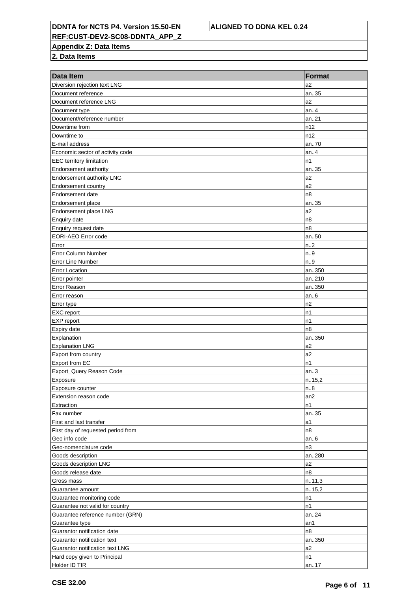**REF:CUST-DEV2-SC08-DDNTA\_APP\_Z**

**Appendix Z: Data Items**

| Data Item                          | <b>Format</b>  |
|------------------------------------|----------------|
| Diversion rejection text LNG       | a2             |
| Document reference                 | an35           |
| Document reference LNG             | a2             |
| Document type                      | an.4           |
| Document/reference number          | an.21          |
| Downtime from                      | n12            |
| Downtime to                        | n12            |
| E-mail address                     | an70           |
| Economic sector of activity code   | an.4           |
| EEC territory limitation           | n1             |
| Endorsement authority              | an35           |
| Endorsement authority LNG          | a2             |
| Endorsement country                | a2             |
| Endorsement date                   | n <sub>8</sub> |
| Endorsement place                  | an35           |
| Endorsement place LNG              | a <sub>2</sub> |
| Enquiry date                       | n8             |
| Enquiry request date               | n <sub>8</sub> |
| <b>EORI-AEO Error code</b>         | an50           |
| Error                              | n.2            |
| <b>Error Column Number</b>         | n.9            |
| <b>Error Line Number</b>           | n.9            |
| <b>Error Location</b>              | an350          |
| Error pointer                      | an210          |
| Error Reason                       | an350          |
| Error reason                       | an.6           |
| Error type                         | n2             |
| EXC report                         | n1             |
| EXP report                         | n1             |
| Expiry date                        | n <sub>8</sub> |
| Explanation                        | an350          |
| <b>Explanation LNG</b>             | a <sub>2</sub> |
| Export from country                | a2             |
| Export from EC                     | n1             |
| Export_Query Reason Code           | an.3           |
| Exposure                           | n.15,2         |
| Exposure counter                   | n.8            |
| Extension reason code              | an2            |
| Extraction                         | n1             |
| Fax number                         | an35           |
| First and last transfer            | a1             |
| First day of requested period from | n8             |
| Geo info code                      | an.6           |
| Geo-nomenclature code              | n3             |
| Goods description                  | an280          |
| Goods description LNG              | a2             |
| Goods release date                 | n8             |
| Gross mass                         | n.11,3         |
| Guarantee amount                   | n.15,2         |
| Guarantee monitoring code          | n1             |
| Guarantee not valid for country    | n1             |
| Guarantee reference number (GRN)   | an.24          |
| Guarantee type                     | an1            |
| Guarantor notification date        | n8             |
| Guarantor notification text        | an350          |
| Guarantor notification text LNG    | a2             |
| Hard copy given to Principal       | n1             |
| Holder ID TIR                      | an17           |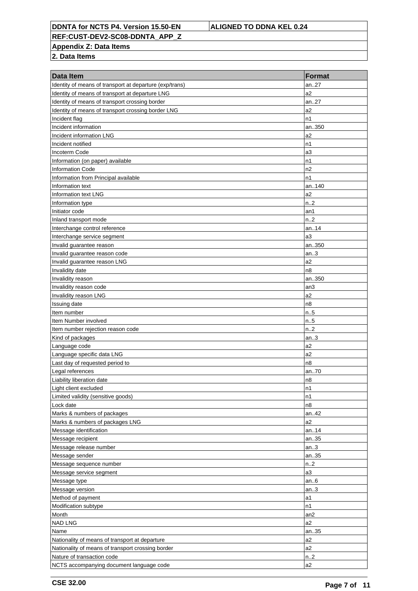**REF:CUST-DEV2-SC08-DDNTA\_APP\_Z**

**Appendix Z: Data Items**

| Data Item                                                                                                  | <b>Format</b>          |
|------------------------------------------------------------------------------------------------------------|------------------------|
|                                                                                                            | an27                   |
| Identity of means of transport at departure (exp/trans)<br>Identity of means of transport at departure LNG | a2                     |
| Identity of means of transport crossing border                                                             | an.27                  |
| Identity of means of transport crossing border LNG                                                         | a2                     |
| Incident flag                                                                                              | n1                     |
| Incident information                                                                                       | an350                  |
| Incident information LNG                                                                                   | a <sub>2</sub>         |
| Incident notified                                                                                          | n1                     |
| Incoterm Code                                                                                              | a3                     |
| Information (on paper) available                                                                           | n1                     |
| <b>Information Code</b>                                                                                    | n2                     |
| Information from Principal available                                                                       | n1                     |
| Information text                                                                                           | an140                  |
| Information text LNG                                                                                       | a2                     |
| Information type                                                                                           | n.2                    |
| Initiator code                                                                                             | an1                    |
| Inland transport mode                                                                                      | n.2                    |
| Interchange control reference                                                                              | an14                   |
| Interchange service segment                                                                                | a <sub>3</sub>         |
|                                                                                                            | an350                  |
| Invalid guarantee reason<br>Invalid guarantee reason code                                                  | an.3                   |
|                                                                                                            | a <sub>2</sub>         |
| Invalid guarantee reason LNG                                                                               | n <sub>8</sub>         |
| Invalidity date                                                                                            |                        |
| Invalidity reason                                                                                          | an350                  |
| Invalidity reason code                                                                                     | an3                    |
| Invalidity reason LNG                                                                                      | a2                     |
| Issuing date                                                                                               | n <sub>8</sub>         |
| Item number                                                                                                | n.5                    |
| Item Number involved                                                                                       | n.5                    |
| Item number rejection reason code                                                                          | n.2                    |
| Kind of packages                                                                                           | an.3<br>a <sub>2</sub> |
| Language code                                                                                              | a2                     |
| Language specific data LNG                                                                                 | n8                     |
| Last day of requested period to                                                                            |                        |
| Legal references<br>Liability liberation date                                                              | an70<br>n8             |
|                                                                                                            |                        |
| Light client excluded                                                                                      | n1<br>n1               |
| Limited validity (sensitive goods)<br>Lock date                                                            |                        |
|                                                                                                            | n8                     |
| Marks & numbers of packages                                                                                | an42<br>a2             |
| Marks & numbers of packages LNG                                                                            |                        |
| Message identification                                                                                     | an14<br>an35           |
| Message recipient                                                                                          |                        |
| Message release number                                                                                     | an.3                   |
| Message sender                                                                                             | an35                   |
| Message sequence number                                                                                    | n.2                    |
| Message service segment                                                                                    | a3                     |
| Message type                                                                                               | an.6                   |
| Message version                                                                                            | an.3                   |
| Method of payment                                                                                          | a1                     |
| Modification subtype                                                                                       | n1                     |
| Month                                                                                                      | an <sub>2</sub>        |
| <b>NAD LNG</b>                                                                                             | a2                     |
| Name                                                                                                       | an35                   |
| Nationality of means of transport at departure                                                             | a <sub>2</sub>         |
| Nationality of means of transport crossing border                                                          | a2                     |
| Nature of transaction code                                                                                 | n <sub>1</sub> 2       |
| NCTS accompanying document language code                                                                   | a2                     |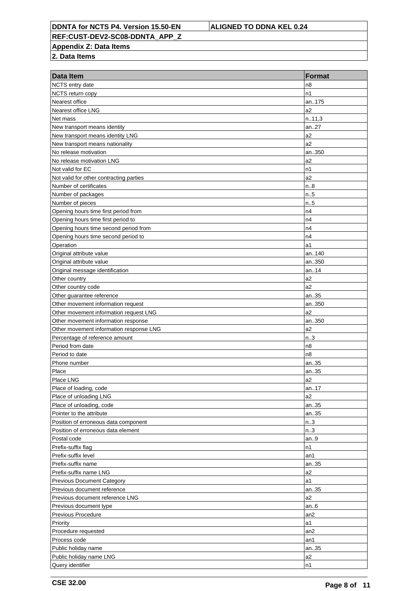**REF:CUST-DEV2-SC08-DDNTA\_APP\_Z**

**Appendix Z: Data Items**

| <b>Data Item</b>                        | <b>Format</b>   |
|-----------------------------------------|-----------------|
| NCTS entry date                         | n8              |
| NCTS return copy                        | n1              |
| Nearest office                          | an175           |
| Nearest office LNG                      | a2              |
| Net mass                                | n.11,3          |
| New transport means identity            | an27            |
| New transport means identity LNG        | a2              |
| New transport means nationality         | a2              |
| No release motivation                   | an350           |
| No release motivation LNG               | a2              |
| Not valid for EC                        | n1              |
| Not valid for other contracting parties | a2              |
| Number of certificates                  | n.8             |
| Number of packages                      | n.5             |
| Number of pieces                        | n.5             |
| Opening hours time first period from    | n4              |
| Opening hours time first period to      | n4              |
| Opening hours time second period from   | n4              |
| Opening hours time second period to     | n4              |
| Operation                               | a1              |
| Original attribute value                | an140           |
| Original attribute value                | an350           |
| Original message identification         | an14            |
| Other country                           | a2              |
| Other country code                      | a2              |
| Other guarantee reference               | an35            |
| Other movement information request      | an350           |
| Other movement information request LNG  | a2              |
| Other movement information response     | an350           |
| Other movement information response LNG | a2              |
| Percentage of reference amount          | n.3             |
| Period from date                        | n8              |
| Period to date                          | n8              |
| Phone number                            | an35            |
| Place                                   | an35            |
| Place LNG                               | a2              |
| Place of loading, code                  | an17            |
| Place of unloading LNG                  | a2              |
| Place of unloading, code                | an35            |
| Pointer to the attribute                | an35            |
| Position of erroneous data component    | n.3             |
| Position of erroneous data element      | n.3             |
| Postal code                             | an.9            |
| Prefix-suffix flag                      | n1              |
| Prefix-suffix level                     | an1             |
| Prefix-suffix name                      | an35            |
| Prefix-suffix name LNG                  | a2              |
| <b>Previous Document Category</b>       | a1              |
| Previous document reference             | an35            |
| Previous document reference LNG         | a2              |
| Previous document type                  | an.6            |
| Previous Procedure                      | an <sub>2</sub> |
| Priority                                | a1              |
| Procedure requested                     | an <sub>2</sub> |
| Process code                            | an1             |
| Public holiday name                     | an35            |
| Public holiday name LNG                 | a2              |
| Query identifier                        | n1              |
|                                         |                 |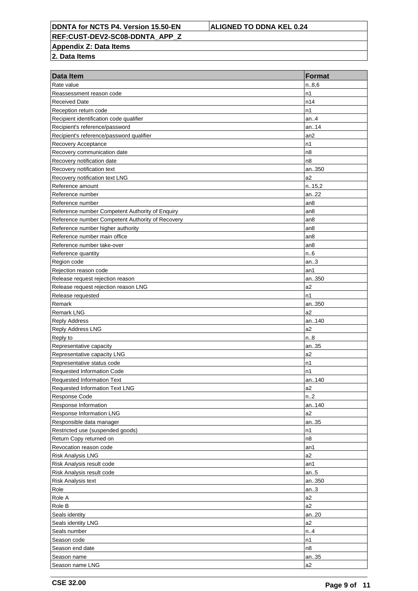**REF:CUST-DEV2-SC08-DDNTA\_APP\_Z**

**Appendix Z: Data Items**

| Data Item                                        | <b>Format</b>   |
|--------------------------------------------------|-----------------|
| Rate value                                       | n.8,6           |
| Reassessment reason code                         | n1              |
| <b>Received Date</b>                             | n14             |
| Reception return code                            | n1              |
| Recipient identification code qualifier          | an.4            |
| Recipient's reference/password                   | an14            |
| Recipient's reference/password qualifier         | an <sub>2</sub> |
| Recovery Acceptance                              | n1              |
| Recovery communication date                      | n8              |
| Recovery notification date                       | n8              |
| Recovery notification text                       | an350           |
| Recovery notification text LNG                   | a <sub>2</sub>  |
| Reference amount                                 | n.15,2          |
| Reference number                                 | an22            |
| Reference number                                 | an <sub>8</sub> |
| Reference number Competent Authority of Enquiry  | an8             |
| Reference number Competent Authority of Recovery | an <sub>8</sub> |
| Reference number higher authority                | an8             |
| Reference number main office                     | an8             |
| Reference number take-over                       | an8             |
| Reference quantity                               | n.6             |
| Region code                                      | an.3            |
| Rejection reason code                            | an1             |
| Release request rejection reason                 | an350           |
| Release request rejection reason LNG             | a <sub>2</sub>  |
| Release requested                                | n1              |
| Remark                                           | an350           |
| <b>Remark LNG</b>                                | a2              |
| <b>Reply Address</b>                             | an140           |
| Reply Address LNG                                | a2              |
| Reply to                                         | n.8             |
| Representative capacity                          | an35            |
| Representative capacity LNG                      | a2              |
| Representative status code                       | n1              |
| Requested Information Code                       | n1              |
| <b>Requested Information Text</b>                | an140           |
| Requested Information Text LNG                   | a2              |
| <b>Response Code</b>                             | n.2             |
| Response Information                             | an140           |
| Response Information LNG                         | a2              |
| Responsible data manager                         | an35            |
| Restricted use (suspended goods)                 | n1              |
| Return Copy returned on                          | n8              |
| Revocation reason code                           | an1             |
| <b>Risk Analysis LNG</b>                         | a2              |
| Risk Analysis result code                        | an1             |
| Risk Analysis result code                        | an.5            |
| Risk Analysis text                               | an350           |
| Role                                             | an.3            |
| Role A                                           | a2              |
| Role B                                           | a2              |
|                                                  |                 |
| Seals identity                                   | an20<br>a2      |
| Seals identity LNG<br>Seals number               |                 |
|                                                  | n.4             |
| Season code                                      | n1              |
| Season end date                                  | n8              |
| Season name                                      | an35            |
| Season name LNG                                  | a2              |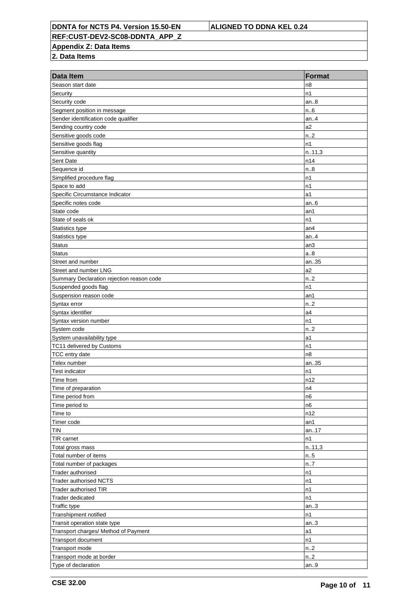**REF:CUST-DEV2-SC08-DDNTA\_APP\_Z**

**Appendix Z: Data Items**

| Season start date<br>n8<br>n1<br>Security<br>an.8<br>Security code<br>n.6<br>Segment position in message<br>Sender identification code qualifier<br>an.4<br>Sending country code<br>a2<br>n.2<br>Sensitive goods code<br>Sensitive goods flag<br>n1<br>n.11,3<br>Sensitive quantity<br>Sent Date<br>n14<br>n.8<br>Sequence id<br>Simplified procedure flag<br>n1<br>n1<br>Space to add<br>Specific Circumstance Indicator<br>a1<br>Specific notes code<br>an.6<br>State code<br>an1<br>n1<br>State of seals ok<br>Statistics type<br>an <sub>4</sub><br>Statistics type<br>an.4<br><b>Status</b><br>an3<br>a.8<br><b>Status</b><br>an35<br>Street and number<br>a2<br>Street and number LNG<br>n.2<br>Summary Declaration rejection reason code<br>Suspended goods flag<br>n1<br>Suspension reason code<br>an1<br>n.2<br>Syntax error<br>a4<br>Syntax identifier<br>n1<br>Syntax version number<br>System code<br>n.2<br>System unavailability type<br>a1<br>n1<br>TC11 delivered by Customs<br>n8<br>TCC entry date<br>Telex number<br>an35<br><b>Test indicator</b><br>n1<br>n12<br>Time from<br>Time of preparation<br>n4<br>n6<br>Time period from<br>Time period to<br>n6<br>n12<br>Time to<br>Timer code<br>an1<br><b>TIN</b><br>an17<br>TIR carnet<br>n1<br>n.11,3<br>Total gross mass<br>Total number of items<br>n.5<br>n7<br>Total number of packages<br>Trader authorised<br>n1<br><b>Trader authorised NCTS</b><br>n1<br><b>Trader authorised TIR</b><br>n1<br>Trader dedicated<br>n1<br><b>Traffic type</b><br>an.3<br>Transhipment notified<br>n1<br>Transit operation state type<br>an.3<br>Transport charges/ Method of Payment<br>a1<br>Transport document<br>n1<br>n.2<br>Transport mode<br>Transport mode at border<br>n <sub>1</sub> 2 | Data Item           | <b>Format</b> |
|------------------------------------------------------------------------------------------------------------------------------------------------------------------------------------------------------------------------------------------------------------------------------------------------------------------------------------------------------------------------------------------------------------------------------------------------------------------------------------------------------------------------------------------------------------------------------------------------------------------------------------------------------------------------------------------------------------------------------------------------------------------------------------------------------------------------------------------------------------------------------------------------------------------------------------------------------------------------------------------------------------------------------------------------------------------------------------------------------------------------------------------------------------------------------------------------------------------------------------------------------------------------------------------------------------------------------------------------------------------------------------------------------------------------------------------------------------------------------------------------------------------------------------------------------------------------------------------------------------------------------------------------------------------------------------------------------------------------------------------------------------|---------------------|---------------|
|                                                                                                                                                                                                                                                                                                                                                                                                                                                                                                                                                                                                                                                                                                                                                                                                                                                                                                                                                                                                                                                                                                                                                                                                                                                                                                                                                                                                                                                                                                                                                                                                                                                                                                                                                            |                     |               |
|                                                                                                                                                                                                                                                                                                                                                                                                                                                                                                                                                                                                                                                                                                                                                                                                                                                                                                                                                                                                                                                                                                                                                                                                                                                                                                                                                                                                                                                                                                                                                                                                                                                                                                                                                            |                     |               |
|                                                                                                                                                                                                                                                                                                                                                                                                                                                                                                                                                                                                                                                                                                                                                                                                                                                                                                                                                                                                                                                                                                                                                                                                                                                                                                                                                                                                                                                                                                                                                                                                                                                                                                                                                            |                     |               |
|                                                                                                                                                                                                                                                                                                                                                                                                                                                                                                                                                                                                                                                                                                                                                                                                                                                                                                                                                                                                                                                                                                                                                                                                                                                                                                                                                                                                                                                                                                                                                                                                                                                                                                                                                            |                     |               |
|                                                                                                                                                                                                                                                                                                                                                                                                                                                                                                                                                                                                                                                                                                                                                                                                                                                                                                                                                                                                                                                                                                                                                                                                                                                                                                                                                                                                                                                                                                                                                                                                                                                                                                                                                            |                     |               |
|                                                                                                                                                                                                                                                                                                                                                                                                                                                                                                                                                                                                                                                                                                                                                                                                                                                                                                                                                                                                                                                                                                                                                                                                                                                                                                                                                                                                                                                                                                                                                                                                                                                                                                                                                            |                     |               |
|                                                                                                                                                                                                                                                                                                                                                                                                                                                                                                                                                                                                                                                                                                                                                                                                                                                                                                                                                                                                                                                                                                                                                                                                                                                                                                                                                                                                                                                                                                                                                                                                                                                                                                                                                            |                     |               |
|                                                                                                                                                                                                                                                                                                                                                                                                                                                                                                                                                                                                                                                                                                                                                                                                                                                                                                                                                                                                                                                                                                                                                                                                                                                                                                                                                                                                                                                                                                                                                                                                                                                                                                                                                            |                     |               |
|                                                                                                                                                                                                                                                                                                                                                                                                                                                                                                                                                                                                                                                                                                                                                                                                                                                                                                                                                                                                                                                                                                                                                                                                                                                                                                                                                                                                                                                                                                                                                                                                                                                                                                                                                            |                     |               |
|                                                                                                                                                                                                                                                                                                                                                                                                                                                                                                                                                                                                                                                                                                                                                                                                                                                                                                                                                                                                                                                                                                                                                                                                                                                                                                                                                                                                                                                                                                                                                                                                                                                                                                                                                            |                     |               |
|                                                                                                                                                                                                                                                                                                                                                                                                                                                                                                                                                                                                                                                                                                                                                                                                                                                                                                                                                                                                                                                                                                                                                                                                                                                                                                                                                                                                                                                                                                                                                                                                                                                                                                                                                            |                     |               |
|                                                                                                                                                                                                                                                                                                                                                                                                                                                                                                                                                                                                                                                                                                                                                                                                                                                                                                                                                                                                                                                                                                                                                                                                                                                                                                                                                                                                                                                                                                                                                                                                                                                                                                                                                            |                     |               |
|                                                                                                                                                                                                                                                                                                                                                                                                                                                                                                                                                                                                                                                                                                                                                                                                                                                                                                                                                                                                                                                                                                                                                                                                                                                                                                                                                                                                                                                                                                                                                                                                                                                                                                                                                            |                     |               |
|                                                                                                                                                                                                                                                                                                                                                                                                                                                                                                                                                                                                                                                                                                                                                                                                                                                                                                                                                                                                                                                                                                                                                                                                                                                                                                                                                                                                                                                                                                                                                                                                                                                                                                                                                            |                     |               |
|                                                                                                                                                                                                                                                                                                                                                                                                                                                                                                                                                                                                                                                                                                                                                                                                                                                                                                                                                                                                                                                                                                                                                                                                                                                                                                                                                                                                                                                                                                                                                                                                                                                                                                                                                            |                     |               |
|                                                                                                                                                                                                                                                                                                                                                                                                                                                                                                                                                                                                                                                                                                                                                                                                                                                                                                                                                                                                                                                                                                                                                                                                                                                                                                                                                                                                                                                                                                                                                                                                                                                                                                                                                            |                     |               |
|                                                                                                                                                                                                                                                                                                                                                                                                                                                                                                                                                                                                                                                                                                                                                                                                                                                                                                                                                                                                                                                                                                                                                                                                                                                                                                                                                                                                                                                                                                                                                                                                                                                                                                                                                            |                     |               |
|                                                                                                                                                                                                                                                                                                                                                                                                                                                                                                                                                                                                                                                                                                                                                                                                                                                                                                                                                                                                                                                                                                                                                                                                                                                                                                                                                                                                                                                                                                                                                                                                                                                                                                                                                            |                     |               |
|                                                                                                                                                                                                                                                                                                                                                                                                                                                                                                                                                                                                                                                                                                                                                                                                                                                                                                                                                                                                                                                                                                                                                                                                                                                                                                                                                                                                                                                                                                                                                                                                                                                                                                                                                            |                     |               |
|                                                                                                                                                                                                                                                                                                                                                                                                                                                                                                                                                                                                                                                                                                                                                                                                                                                                                                                                                                                                                                                                                                                                                                                                                                                                                                                                                                                                                                                                                                                                                                                                                                                                                                                                                            |                     |               |
|                                                                                                                                                                                                                                                                                                                                                                                                                                                                                                                                                                                                                                                                                                                                                                                                                                                                                                                                                                                                                                                                                                                                                                                                                                                                                                                                                                                                                                                                                                                                                                                                                                                                                                                                                            |                     |               |
|                                                                                                                                                                                                                                                                                                                                                                                                                                                                                                                                                                                                                                                                                                                                                                                                                                                                                                                                                                                                                                                                                                                                                                                                                                                                                                                                                                                                                                                                                                                                                                                                                                                                                                                                                            |                     |               |
|                                                                                                                                                                                                                                                                                                                                                                                                                                                                                                                                                                                                                                                                                                                                                                                                                                                                                                                                                                                                                                                                                                                                                                                                                                                                                                                                                                                                                                                                                                                                                                                                                                                                                                                                                            |                     |               |
|                                                                                                                                                                                                                                                                                                                                                                                                                                                                                                                                                                                                                                                                                                                                                                                                                                                                                                                                                                                                                                                                                                                                                                                                                                                                                                                                                                                                                                                                                                                                                                                                                                                                                                                                                            |                     |               |
|                                                                                                                                                                                                                                                                                                                                                                                                                                                                                                                                                                                                                                                                                                                                                                                                                                                                                                                                                                                                                                                                                                                                                                                                                                                                                                                                                                                                                                                                                                                                                                                                                                                                                                                                                            |                     |               |
|                                                                                                                                                                                                                                                                                                                                                                                                                                                                                                                                                                                                                                                                                                                                                                                                                                                                                                                                                                                                                                                                                                                                                                                                                                                                                                                                                                                                                                                                                                                                                                                                                                                                                                                                                            |                     |               |
|                                                                                                                                                                                                                                                                                                                                                                                                                                                                                                                                                                                                                                                                                                                                                                                                                                                                                                                                                                                                                                                                                                                                                                                                                                                                                                                                                                                                                                                                                                                                                                                                                                                                                                                                                            |                     |               |
|                                                                                                                                                                                                                                                                                                                                                                                                                                                                                                                                                                                                                                                                                                                                                                                                                                                                                                                                                                                                                                                                                                                                                                                                                                                                                                                                                                                                                                                                                                                                                                                                                                                                                                                                                            |                     |               |
|                                                                                                                                                                                                                                                                                                                                                                                                                                                                                                                                                                                                                                                                                                                                                                                                                                                                                                                                                                                                                                                                                                                                                                                                                                                                                                                                                                                                                                                                                                                                                                                                                                                                                                                                                            |                     |               |
|                                                                                                                                                                                                                                                                                                                                                                                                                                                                                                                                                                                                                                                                                                                                                                                                                                                                                                                                                                                                                                                                                                                                                                                                                                                                                                                                                                                                                                                                                                                                                                                                                                                                                                                                                            |                     |               |
|                                                                                                                                                                                                                                                                                                                                                                                                                                                                                                                                                                                                                                                                                                                                                                                                                                                                                                                                                                                                                                                                                                                                                                                                                                                                                                                                                                                                                                                                                                                                                                                                                                                                                                                                                            |                     |               |
|                                                                                                                                                                                                                                                                                                                                                                                                                                                                                                                                                                                                                                                                                                                                                                                                                                                                                                                                                                                                                                                                                                                                                                                                                                                                                                                                                                                                                                                                                                                                                                                                                                                                                                                                                            |                     |               |
|                                                                                                                                                                                                                                                                                                                                                                                                                                                                                                                                                                                                                                                                                                                                                                                                                                                                                                                                                                                                                                                                                                                                                                                                                                                                                                                                                                                                                                                                                                                                                                                                                                                                                                                                                            |                     |               |
|                                                                                                                                                                                                                                                                                                                                                                                                                                                                                                                                                                                                                                                                                                                                                                                                                                                                                                                                                                                                                                                                                                                                                                                                                                                                                                                                                                                                                                                                                                                                                                                                                                                                                                                                                            |                     |               |
|                                                                                                                                                                                                                                                                                                                                                                                                                                                                                                                                                                                                                                                                                                                                                                                                                                                                                                                                                                                                                                                                                                                                                                                                                                                                                                                                                                                                                                                                                                                                                                                                                                                                                                                                                            |                     |               |
|                                                                                                                                                                                                                                                                                                                                                                                                                                                                                                                                                                                                                                                                                                                                                                                                                                                                                                                                                                                                                                                                                                                                                                                                                                                                                                                                                                                                                                                                                                                                                                                                                                                                                                                                                            |                     |               |
|                                                                                                                                                                                                                                                                                                                                                                                                                                                                                                                                                                                                                                                                                                                                                                                                                                                                                                                                                                                                                                                                                                                                                                                                                                                                                                                                                                                                                                                                                                                                                                                                                                                                                                                                                            |                     |               |
|                                                                                                                                                                                                                                                                                                                                                                                                                                                                                                                                                                                                                                                                                                                                                                                                                                                                                                                                                                                                                                                                                                                                                                                                                                                                                                                                                                                                                                                                                                                                                                                                                                                                                                                                                            |                     |               |
|                                                                                                                                                                                                                                                                                                                                                                                                                                                                                                                                                                                                                                                                                                                                                                                                                                                                                                                                                                                                                                                                                                                                                                                                                                                                                                                                                                                                                                                                                                                                                                                                                                                                                                                                                            |                     |               |
|                                                                                                                                                                                                                                                                                                                                                                                                                                                                                                                                                                                                                                                                                                                                                                                                                                                                                                                                                                                                                                                                                                                                                                                                                                                                                                                                                                                                                                                                                                                                                                                                                                                                                                                                                            |                     |               |
|                                                                                                                                                                                                                                                                                                                                                                                                                                                                                                                                                                                                                                                                                                                                                                                                                                                                                                                                                                                                                                                                                                                                                                                                                                                                                                                                                                                                                                                                                                                                                                                                                                                                                                                                                            |                     |               |
|                                                                                                                                                                                                                                                                                                                                                                                                                                                                                                                                                                                                                                                                                                                                                                                                                                                                                                                                                                                                                                                                                                                                                                                                                                                                                                                                                                                                                                                                                                                                                                                                                                                                                                                                                            |                     |               |
|                                                                                                                                                                                                                                                                                                                                                                                                                                                                                                                                                                                                                                                                                                                                                                                                                                                                                                                                                                                                                                                                                                                                                                                                                                                                                                                                                                                                                                                                                                                                                                                                                                                                                                                                                            |                     |               |
|                                                                                                                                                                                                                                                                                                                                                                                                                                                                                                                                                                                                                                                                                                                                                                                                                                                                                                                                                                                                                                                                                                                                                                                                                                                                                                                                                                                                                                                                                                                                                                                                                                                                                                                                                            |                     |               |
|                                                                                                                                                                                                                                                                                                                                                                                                                                                                                                                                                                                                                                                                                                                                                                                                                                                                                                                                                                                                                                                                                                                                                                                                                                                                                                                                                                                                                                                                                                                                                                                                                                                                                                                                                            |                     |               |
|                                                                                                                                                                                                                                                                                                                                                                                                                                                                                                                                                                                                                                                                                                                                                                                                                                                                                                                                                                                                                                                                                                                                                                                                                                                                                                                                                                                                                                                                                                                                                                                                                                                                                                                                                            |                     |               |
|                                                                                                                                                                                                                                                                                                                                                                                                                                                                                                                                                                                                                                                                                                                                                                                                                                                                                                                                                                                                                                                                                                                                                                                                                                                                                                                                                                                                                                                                                                                                                                                                                                                                                                                                                            |                     |               |
|                                                                                                                                                                                                                                                                                                                                                                                                                                                                                                                                                                                                                                                                                                                                                                                                                                                                                                                                                                                                                                                                                                                                                                                                                                                                                                                                                                                                                                                                                                                                                                                                                                                                                                                                                            |                     |               |
|                                                                                                                                                                                                                                                                                                                                                                                                                                                                                                                                                                                                                                                                                                                                                                                                                                                                                                                                                                                                                                                                                                                                                                                                                                                                                                                                                                                                                                                                                                                                                                                                                                                                                                                                                            |                     |               |
|                                                                                                                                                                                                                                                                                                                                                                                                                                                                                                                                                                                                                                                                                                                                                                                                                                                                                                                                                                                                                                                                                                                                                                                                                                                                                                                                                                                                                                                                                                                                                                                                                                                                                                                                                            |                     |               |
|                                                                                                                                                                                                                                                                                                                                                                                                                                                                                                                                                                                                                                                                                                                                                                                                                                                                                                                                                                                                                                                                                                                                                                                                                                                                                                                                                                                                                                                                                                                                                                                                                                                                                                                                                            |                     |               |
|                                                                                                                                                                                                                                                                                                                                                                                                                                                                                                                                                                                                                                                                                                                                                                                                                                                                                                                                                                                                                                                                                                                                                                                                                                                                                                                                                                                                                                                                                                                                                                                                                                                                                                                                                            |                     |               |
|                                                                                                                                                                                                                                                                                                                                                                                                                                                                                                                                                                                                                                                                                                                                                                                                                                                                                                                                                                                                                                                                                                                                                                                                                                                                                                                                                                                                                                                                                                                                                                                                                                                                                                                                                            |                     |               |
|                                                                                                                                                                                                                                                                                                                                                                                                                                                                                                                                                                                                                                                                                                                                                                                                                                                                                                                                                                                                                                                                                                                                                                                                                                                                                                                                                                                                                                                                                                                                                                                                                                                                                                                                                            |                     |               |
|                                                                                                                                                                                                                                                                                                                                                                                                                                                                                                                                                                                                                                                                                                                                                                                                                                                                                                                                                                                                                                                                                                                                                                                                                                                                                                                                                                                                                                                                                                                                                                                                                                                                                                                                                            |                     |               |
|                                                                                                                                                                                                                                                                                                                                                                                                                                                                                                                                                                                                                                                                                                                                                                                                                                                                                                                                                                                                                                                                                                                                                                                                                                                                                                                                                                                                                                                                                                                                                                                                                                                                                                                                                            |                     |               |
|                                                                                                                                                                                                                                                                                                                                                                                                                                                                                                                                                                                                                                                                                                                                                                                                                                                                                                                                                                                                                                                                                                                                                                                                                                                                                                                                                                                                                                                                                                                                                                                                                                                                                                                                                            |                     |               |
|                                                                                                                                                                                                                                                                                                                                                                                                                                                                                                                                                                                                                                                                                                                                                                                                                                                                                                                                                                                                                                                                                                                                                                                                                                                                                                                                                                                                                                                                                                                                                                                                                                                                                                                                                            | Type of declaration | an.9          |